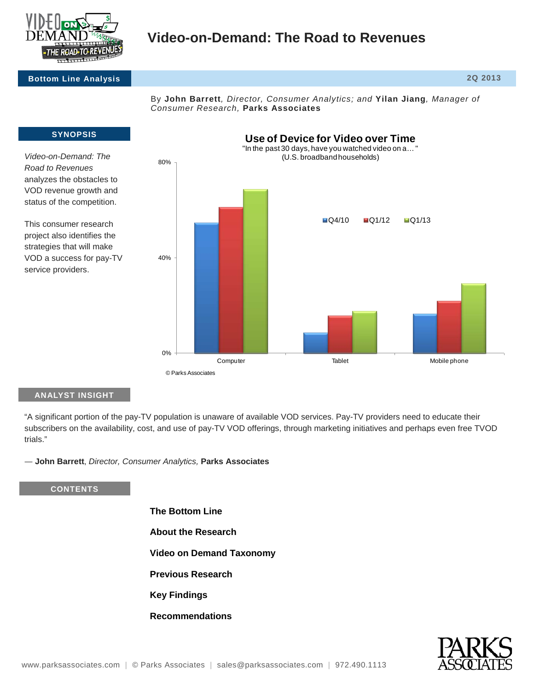

# **Video-on-Demand: The Road to Revenues**

## **Bottom Line Analysis 2Q 2013**

By **John Barrett***, Director, Consumer Analytics; and* **Yilan Jiang***, Manager of Consumer Research,* **Parks Associates**



<sup>©</sup> Parks Associates

## **ANALYST INSIGHT**

"A significant portion of the pay-TV population is unaware of available VOD services. Pay-TV providers need to educate their subscribers on the availability, cost, and use of pay-TV VOD offerings, through marketing initiatives and perhaps even free TVOD trials."

― **John Barrett**, *Director, Consumer Analytics,* **Parks Associates**

## **CONTENTS**

- **The Bottom Line**
- **About the Research**
- **Video on Demand Taxonomy**
- **Previous Research**
- **Key Findings**
- **Recommendations**

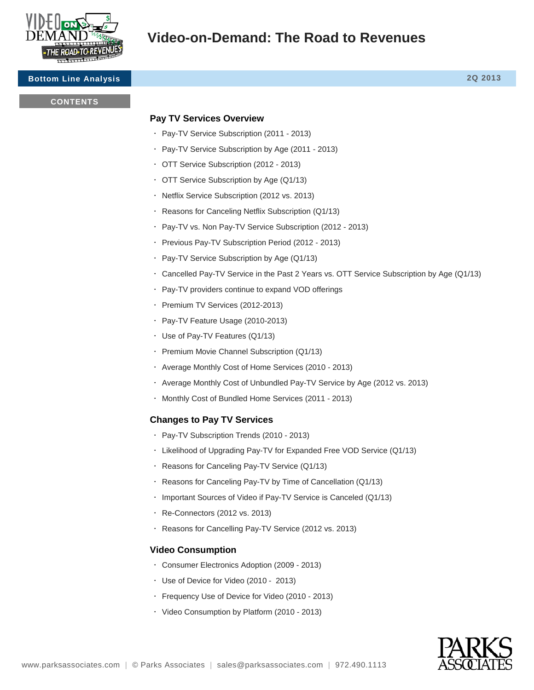

# **Video-on-Demand: The Road to Revenues**

## **Bottom Line Analysis 2Q 2013**

#### **CONTENTS**

## **Pay TV Services Overview**

- Pay-TV Service Subscription (2011 2013)
- Pay-TV Service Subscription by Age (2011 2013)
- OTT Service Subscription (2012 2013)
- OTT Service Subscription by Age (Q1/13)
- Netflix Service Subscription (2012 vs. 2013)
- Reasons for Canceling Netflix Subscription (Q1/13)
- Pay-TV vs. Non Pay-TV Service Subscription (2012 2013)
- Previous Pay-TV Subscription Period (2012 2013)
- Pay-TV Service Subscription by Age (Q1/13)
- Cancelled Pay-TV Service in the Past 2 Years vs. OTT Service Subscription by Age (Q1/13)
- Pay-TV providers continue to expand VOD offerings
- · Premium TV Services (2012-2013)
- Pay-TV Feature Usage (2010-2013)
- Use of Pay-TV Features (Q1/13)
- Premium Movie Channel Subscription (Q1/13)
- Average Monthly Cost of Home Services (2010 2013)
- Average Monthly Cost of Unbundled Pay-TV Service by Age (2012 vs. 2013)
- Monthly Cost of Bundled Home Services (2011 2013)

## **Changes to Pay TV Services**

- Pay-TV Subscription Trends (2010 2013)
- Likelihood of Upgrading Pay-TV for Expanded Free VOD Service (Q1/13)
- Reasons for Canceling Pay-TV Service (Q1/13)
- Reasons for Canceling Pay-TV by Time of Cancellation (Q1/13)
- Important Sources of Video if Pay-TV Service is Canceled (Q1/13)
- Re-Connectors (2012 vs. 2013)
- Reasons for Cancelling Pay-TV Service (2012 vs. 2013)

## **Video Consumption**

- Consumer Electronics Adoption (2009 2013)
- Use of Device for Video (2010 2013)
- Frequency Use of Device for Video (2010 2013)
- Video Consumption by Platform (2010 2013)

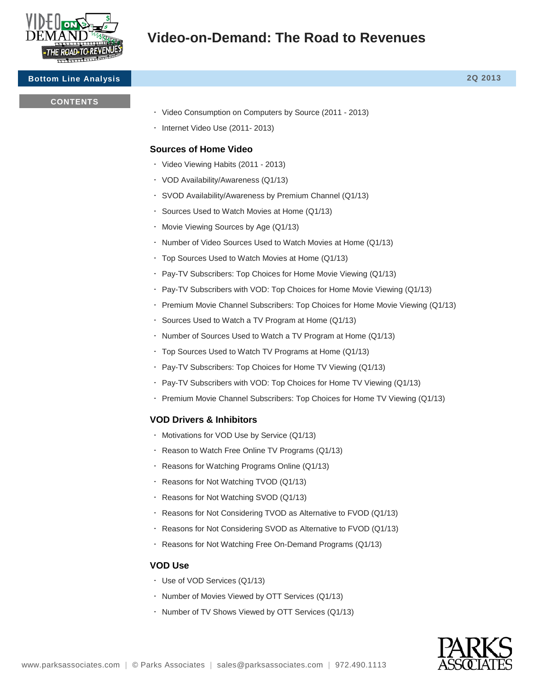

#### **Bottom Line Analysis 2Q 2013**

#### **CONTENTS**

- Video Consumption on Computers by Source (2011 2013)
- · Internet Video Use (2011-2013)

## **Sources of Home Video**

- Video Viewing Habits (2011 2013)
- VOD Availability/Awareness (Q1/13)
- SVOD Availability/Awareness by Premium Channel (Q1/13)
- Sources Used to Watch Movies at Home (Q1/13)
- Movie Viewing Sources by Age (Q1/13)
- Number of Video Sources Used to Watch Movies at Home (Q1/13)
- Top Sources Used to Watch Movies at Home (Q1/13)
- Pay-TV Subscribers: Top Choices for Home Movie Viewing (Q1/13)
- Pay-TV Subscribers with VOD: Top Choices for Home Movie Viewing (Q1/13)
- Premium Movie Channel Subscribers: Top Choices for Home Movie Viewing (Q1/13)
- Sources Used to Watch a TV Program at Home (Q1/13)
- $\cdot$  Number of Sources Used to Watch a TV Program at Home (Q1/13)
- Top Sources Used to Watch TV Programs at Home (Q1/13)
- Pay-TV Subscribers: Top Choices for Home TV Viewing (Q1/13)
- Pay-TV Subscribers with VOD: Top Choices for Home TV Viewing (Q1/13)
- Premium Movie Channel Subscribers: Top Choices for Home TV Viewing (Q1/13)

## **VOD Drivers & Inhibitors**

- Motivations for VOD Use by Service (Q1/13)
- Reason to Watch Free Online TV Programs (Q1/13)
- Reasons for Watching Programs Online (Q1/13)
- Reasons for Not Watching TVOD (Q1/13)
- Reasons for Not Watching SVOD (Q1/13)
- Reasons for Not Considering TVOD as Alternative to FVOD (Q1/13)
- Reasons for Not Considering SVOD as Alternative to FVOD (Q1/13)
- Reasons for Not Watching Free On-Demand Programs (Q1/13)

## **VOD Use**

- Use of VOD Services (Q1/13)
- . Number of Movies Viewed by OTT Services (Q1/13)
- $\cdot$  Number of TV Shows Viewed by OTT Services (Q1/13)

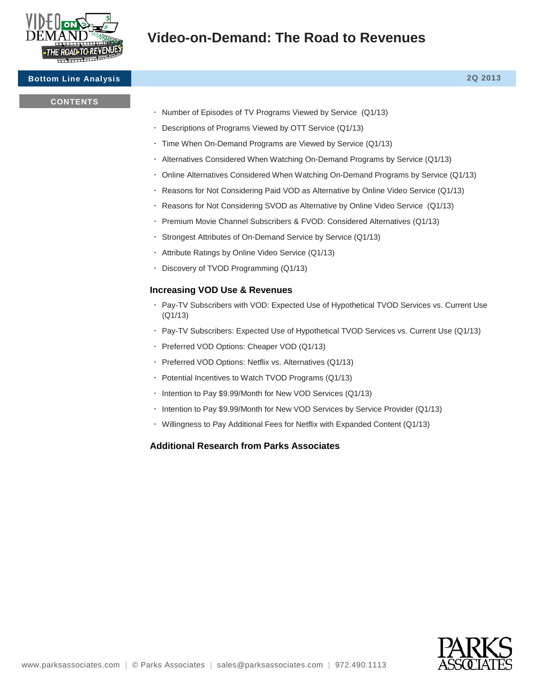

## **Bottom Line Analysis 2Q 2013**

## **CONTENTS**

- . Number of Episodes of TV Programs Viewed by Service (Q1/13)
- Descriptions of Programs Viewed by OTT Service (Q1/13)
- Time When On-Demand Programs are Viewed by Service (Q1/13)
- Alternatives Considered When Watching On-Demand Programs by Service (Q1/13)
- Online Alternatives Considered When Watching On-Demand Programs by Service (Q1/13)
- Reasons for Not Considering Paid VOD as Alternative by Online Video Service (Q1/13)
- Reasons for Not Considering SVOD as Alternative by Online Video Service (Q1/13)
- Premium Movie Channel Subscribers & FVOD: Considered Alternatives (Q1/13)
- Strongest Attributes of On-Demand Service by Service (Q1/13)
- Attribute Ratings by Online Video Service (Q1/13)
- Discovery of TVOD Programming (Q1/13)

## **Increasing VOD Use & Revenues**

- Pay-TV Subscribers with VOD: Expected Use of Hypothetical TVOD Services vs. Current Use (Q1/13)
- Pay-TV Subscribers: Expected Use of Hypothetical TVOD Services vs. Current Use (Q1/13)
- Preferred VOD Options: Cheaper VOD (Q1/13)
- Preferred VOD Options: Netflix vs. Alternatives (Q1/13)
- Potential Incentives to Watch TVOD Programs (Q1/13)
- . Intention to Pay \$9.99/Month for New VOD Services (Q1/13)
- Intention to Pay \$9.99/Month for New VOD Services by Service Provider (Q1/13)
- Willingness to Pay Additional Fees for Netflix with Expanded Content (Q1/13)

## **Additional Research from Parks Associates**